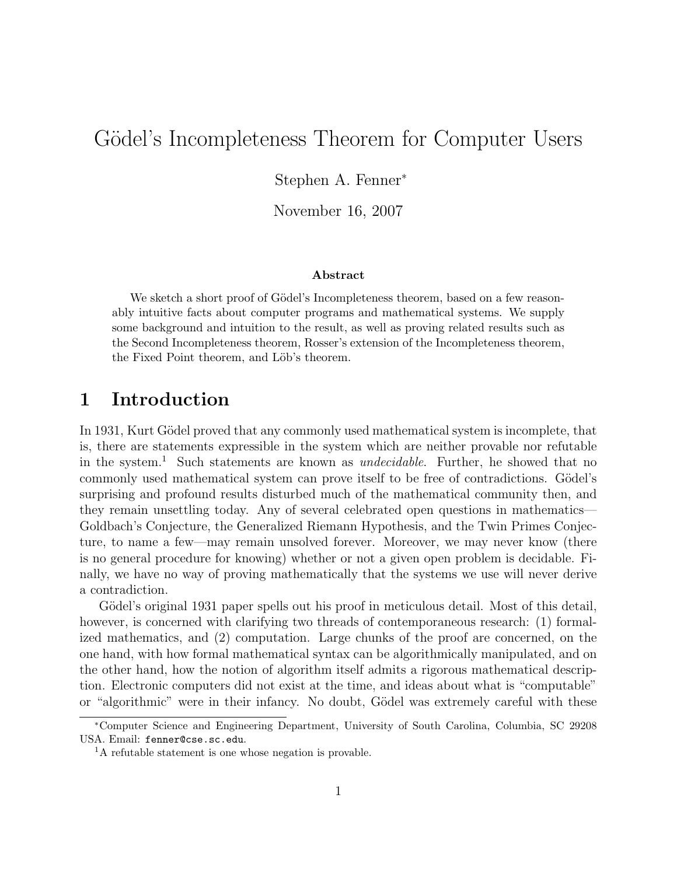# Gödel's Incompleteness Theorem for Computer Users

Stephen A. Fenner<sup>∗</sup>

November 16, 2007

#### Abstract

We sketch a short proof of Gödel's Incompleteness theorem, based on a few reasonably intuitive facts about computer programs and mathematical systems. We supply some background and intuition to the result, as well as proving related results such as the Second Incompleteness theorem, Rosser's extension of the Incompleteness theorem, the Fixed Point theorem, and Löb's theorem.

#### 1 Introduction

In 1931, Kurt Gödel proved that any commonly used mathematical system is incomplete, that is, there are statements expressible in the system which are neither provable nor refutable in the system.<sup>1</sup> Such statements are known as *undecidable*. Further, he showed that no commonly used mathematical system can prove itself to be free of contradictions. Gödel's surprising and profound results disturbed much of the mathematical community then, and they remain unsettling today. Any of several celebrated open questions in mathematics— Goldbach's Conjecture, the Generalized Riemann Hypothesis, and the Twin Primes Conjecture, to name a few—may remain unsolved forever. Moreover, we may never know (there is no general procedure for knowing) whether or not a given open problem is decidable. Finally, we have no way of proving mathematically that the systems we use will never derive a contradiction.

Gödel's original 1931 paper spells out his proof in meticulous detail. Most of this detail. however, is concerned with clarifying two threads of contemporaneous research: (1) formalized mathematics, and (2) computation. Large chunks of the proof are concerned, on the one hand, with how formal mathematical syntax can be algorithmically manipulated, and on the other hand, how the notion of algorithm itself admits a rigorous mathematical description. Electronic computers did not exist at the time, and ideas about what is "computable" or "algorithmic" were in their infancy. No doubt, Gödel was extremely careful with these

<sup>∗</sup>Computer Science and Engineering Department, University of South Carolina, Columbia, SC 29208 USA. Email: fenner@cse.sc.edu.

<sup>&</sup>lt;sup>1</sup>A refutable statement is one whose negation is provable.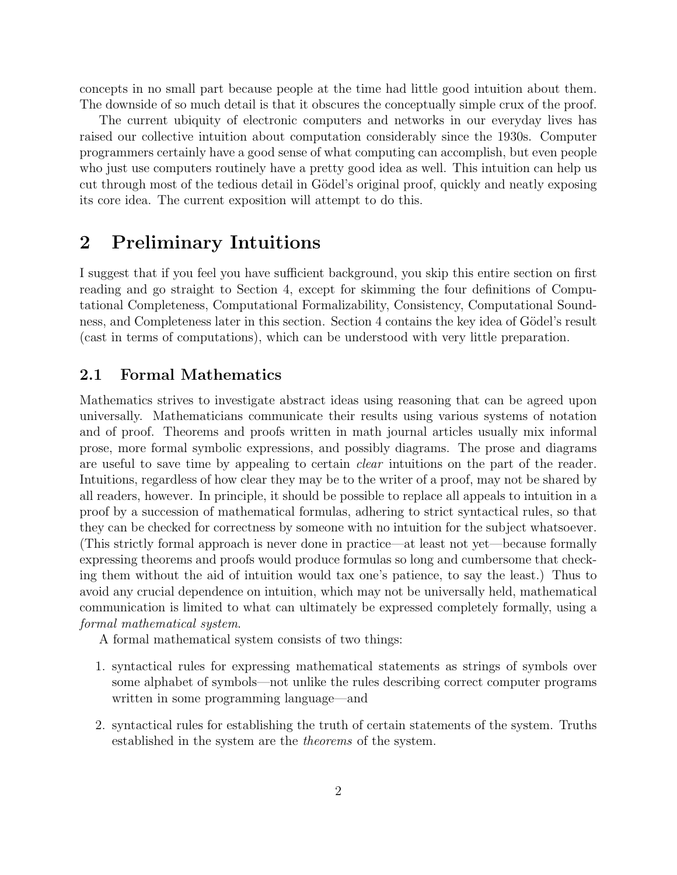concepts in no small part because people at the time had little good intuition about them. The downside of so much detail is that it obscures the conceptually simple crux of the proof.

The current ubiquity of electronic computers and networks in our everyday lives has raised our collective intuition about computation considerably since the 1930s. Computer programmers certainly have a good sense of what computing can accomplish, but even people who just use computers routinely have a pretty good idea as well. This intuition can help us cut through most of the tedious detail in Gödel's original proof, quickly and neatly exposing its core idea. The current exposition will attempt to do this.

### 2 Preliminary Intuitions

I suggest that if you feel you have sufficient background, you skip this entire section on first reading and go straight to Section 4, except for skimming the four definitions of Computational Completeness, Computational Formalizability, Consistency, Computational Soundness, and Completeness later in this section. Section 4 contains the key idea of Gödel's result (cast in terms of computations), which can be understood with very little preparation.

#### 2.1 Formal Mathematics

Mathematics strives to investigate abstract ideas using reasoning that can be agreed upon universally. Mathematicians communicate their results using various systems of notation and of proof. Theorems and proofs written in math journal articles usually mix informal prose, more formal symbolic expressions, and possibly diagrams. The prose and diagrams are useful to save time by appealing to certain clear intuitions on the part of the reader. Intuitions, regardless of how clear they may be to the writer of a proof, may not be shared by all readers, however. In principle, it should be possible to replace all appeals to intuition in a proof by a succession of mathematical formulas, adhering to strict syntactical rules, so that they can be checked for correctness by someone with no intuition for the subject whatsoever. (This strictly formal approach is never done in practice—at least not yet—because formally expressing theorems and proofs would produce formulas so long and cumbersome that checking them without the aid of intuition would tax one's patience, to say the least.) Thus to avoid any crucial dependence on intuition, which may not be universally held, mathematical communication is limited to what can ultimately be expressed completely formally, using a formal mathematical system.

A formal mathematical system consists of two things:

- 1. syntactical rules for expressing mathematical statements as strings of symbols over some alphabet of symbols—not unlike the rules describing correct computer programs written in some programming language—and
- 2. syntactical rules for establishing the truth of certain statements of the system. Truths established in the system are the theorems of the system.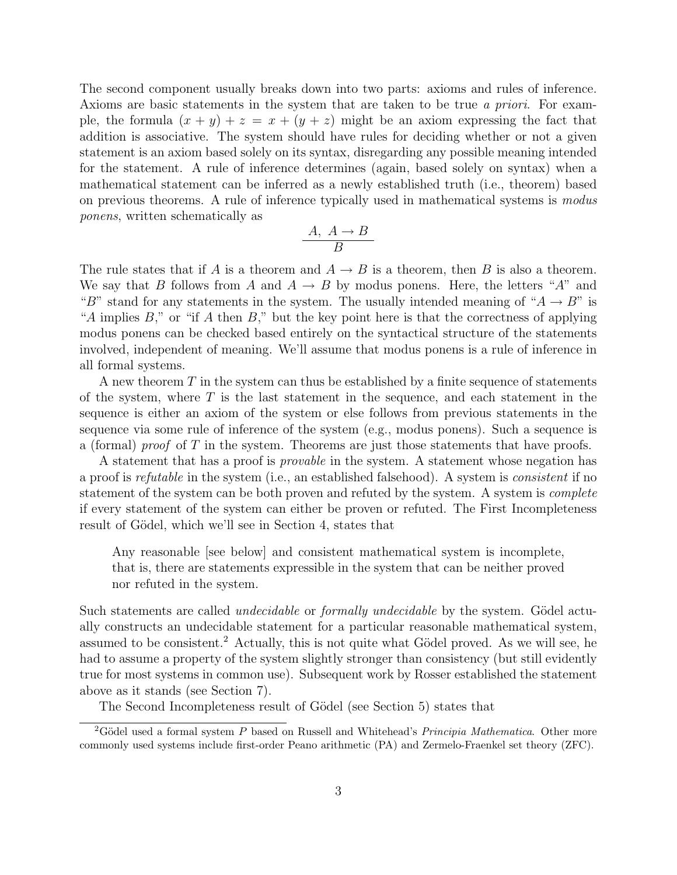The second component usually breaks down into two parts: axioms and rules of inference. Axioms are basic statements in the system that are taken to be true a priori. For example, the formula  $(x + y) + z = x + (y + z)$  might be an axiom expressing the fact that addition is associative. The system should have rules for deciding whether or not a given statement is an axiom based solely on its syntax, disregarding any possible meaning intended for the statement. A rule of inference determines (again, based solely on syntax) when a mathematical statement can be inferred as a newly established truth (i.e., theorem) based on previous theorems. A rule of inference typically used in mathematical systems is modus ponens, written schematically as

$$
\frac{A, A \to B}{B}
$$

The rule states that if A is a theorem and  $A \to B$  is a theorem, then B is also a theorem. We say that B follows from A and  $A \rightarrow B$  by modus ponens. Here, the letters "A" and "B" stand for any statements in the system. The usually intended meaning of " $A \rightarrow B$ " is "A implies  $B$ ," or "if A then  $B$ ," but the key point here is that the correctness of applying modus ponens can be checked based entirely on the syntactical structure of the statements involved, independent of meaning. We'll assume that modus ponens is a rule of inference in all formal systems.

A new theorem  $T$  in the system can thus be established by a finite sequence of statements of the system, where  $T$  is the last statement in the sequence, and each statement in the sequence is either an axiom of the system or else follows from previous statements in the sequence via some rule of inference of the system (e.g., modus ponens). Such a sequence is a (formal) *proof* of T in the system. Theorems are just those statements that have proofs.

A statement that has a proof is *provable* in the system. A statement whose negation has a proof is refutable in the system (i.e., an established falsehood). A system is consistent if no statement of the system can be both proven and refuted by the system. A system is *complete* if every statement of the system can either be proven or refuted. The First Incompleteness result of Gödel, which we'll see in Section 4, states that

Any reasonable [see below] and consistent mathematical system is incomplete, that is, there are statements expressible in the system that can be neither proved nor refuted in the system.

Such statements are called *undecidable* or *formally undecidable* by the system. Gödel actually constructs an undecidable statement for a particular reasonable mathematical system, assumed to be consistent.<sup>2</sup> Actually, this is not quite what Gödel proved. As we will see, he had to assume a property of the system slightly stronger than consistency (but still evidently true for most systems in common use). Subsequent work by Rosser established the statement above as it stands (see Section 7).

The Second Incompleteness result of Gödel (see Section 5) states that

<sup>&</sup>lt;sup>2</sup>Gödel used a formal system P based on Russell and Whitehead's Principia Mathematica. Other more commonly used systems include first-order Peano arithmetic (PA) and Zermelo-Fraenkel set theory (ZFC).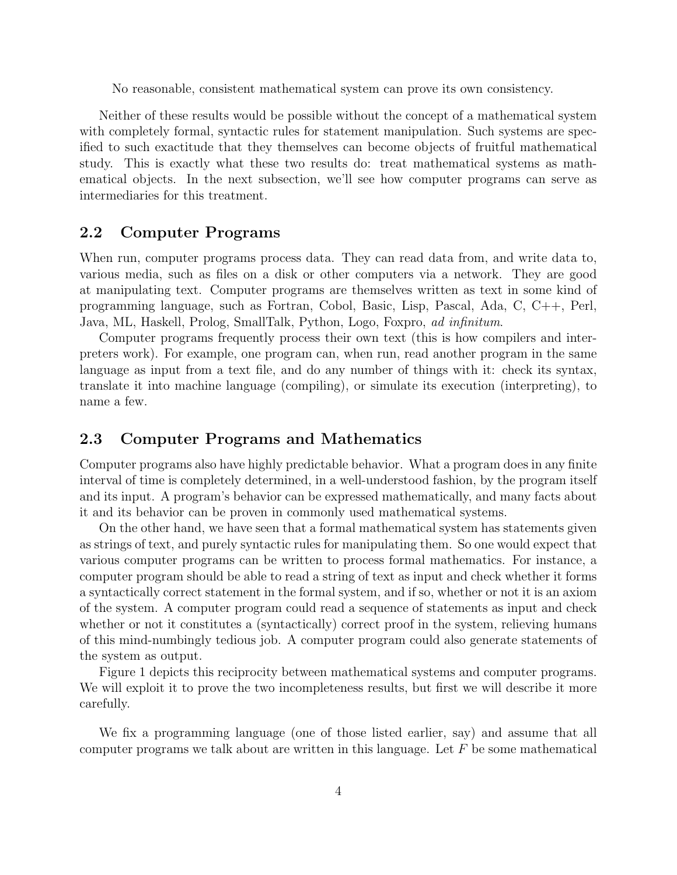No reasonable, consistent mathematical system can prove its own consistency.

Neither of these results would be possible without the concept of a mathematical system with completely formal, syntactic rules for statement manipulation. Such systems are specified to such exactitude that they themselves can become objects of fruitful mathematical study. This is exactly what these two results do: treat mathematical systems as mathematical objects. In the next subsection, we'll see how computer programs can serve as intermediaries for this treatment.

#### 2.2 Computer Programs

When run, computer programs process data. They can read data from, and write data to, various media, such as files on a disk or other computers via a network. They are good at manipulating text. Computer programs are themselves written as text in some kind of programming language, such as Fortran, Cobol, Basic, Lisp, Pascal, Ada, C, C++, Perl, Java, ML, Haskell, Prolog, SmallTalk, Python, Logo, Foxpro, ad infinitum.

Computer programs frequently process their own text (this is how compilers and interpreters work). For example, one program can, when run, read another program in the same language as input from a text file, and do any number of things with it: check its syntax, translate it into machine language (compiling), or simulate its execution (interpreting), to name a few.

#### 2.3 Computer Programs and Mathematics

Computer programs also have highly predictable behavior. What a program does in any finite interval of time is completely determined, in a well-understood fashion, by the program itself and its input. A program's behavior can be expressed mathematically, and many facts about it and its behavior can be proven in commonly used mathematical systems.

On the other hand, we have seen that a formal mathematical system has statements given as strings of text, and purely syntactic rules for manipulating them. So one would expect that various computer programs can be written to process formal mathematics. For instance, a computer program should be able to read a string of text as input and check whether it forms a syntactically correct statement in the formal system, and if so, whether or not it is an axiom of the system. A computer program could read a sequence of statements as input and check whether or not it constitutes a (syntactically) correct proof in the system, relieving humans of this mind-numbingly tedious job. A computer program could also generate statements of the system as output.

Figure 1 depicts this reciprocity between mathematical systems and computer programs. We will exploit it to prove the two incompleteness results, but first we will describe it more carefully.

We fix a programming language (one of those listed earlier, say) and assume that all computer programs we talk about are written in this language. Let  $F$  be some mathematical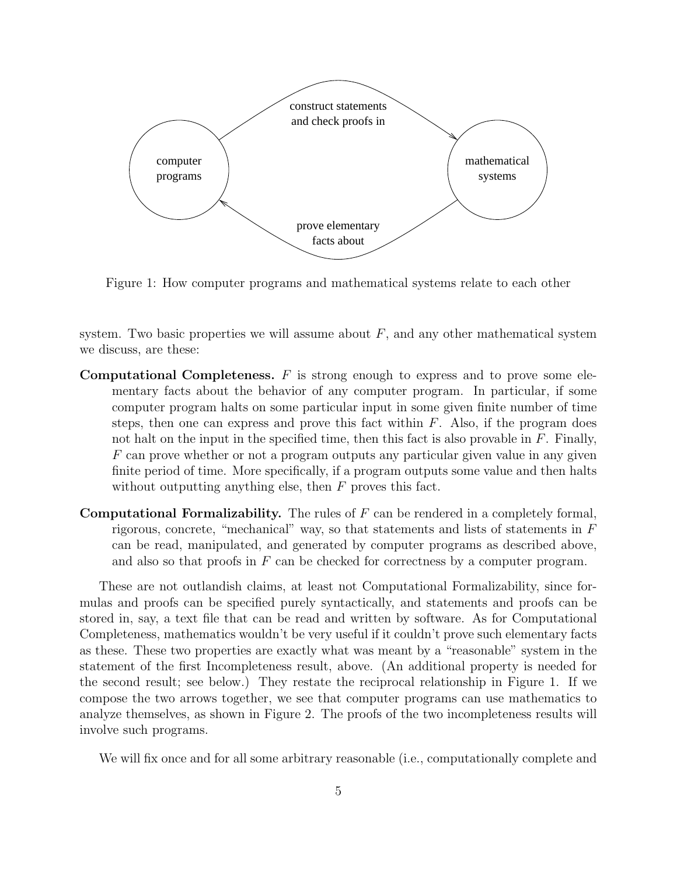

Figure 1: How computer programs and mathematical systems relate to each other

system. Two basic properties we will assume about  $F$ , and any other mathematical system we discuss, are these:

- **Computational Completeness.**  $F$  is strong enough to express and to prove some elementary facts about the behavior of any computer program. In particular, if some computer program halts on some particular input in some given finite number of time steps, then one can express and prove this fact within  $F$ . Also, if the program does not halt on the input in the specified time, then this fact is also provable in  $F$ . Finally, F can prove whether or not a program outputs any particular given value in any given finite period of time. More specifically, if a program outputs some value and then halts without outputting anything else, then  $F$  proves this fact.
- **Computational Formalizability.** The rules of  $F$  can be rendered in a completely formal, rigorous, concrete, "mechanical" way, so that statements and lists of statements in  $F$ can be read, manipulated, and generated by computer programs as described above, and also so that proofs in  $F$  can be checked for correctness by a computer program.

These are not outlandish claims, at least not Computational Formalizability, since formulas and proofs can be specified purely syntactically, and statements and proofs can be stored in, say, a text file that can be read and written by software. As for Computational Completeness, mathematics wouldn't be very useful if it couldn't prove such elementary facts as these. These two properties are exactly what was meant by a "reasonable" system in the statement of the first Incompleteness result, above. (An additional property is needed for the second result; see below.) They restate the reciprocal relationship in Figure 1. If we compose the two arrows together, we see that computer programs can use mathematics to analyze themselves, as shown in Figure 2. The proofs of the two incompleteness results will involve such programs.

We will fix once and for all some arbitrary reasonable (i.e., computationally complete and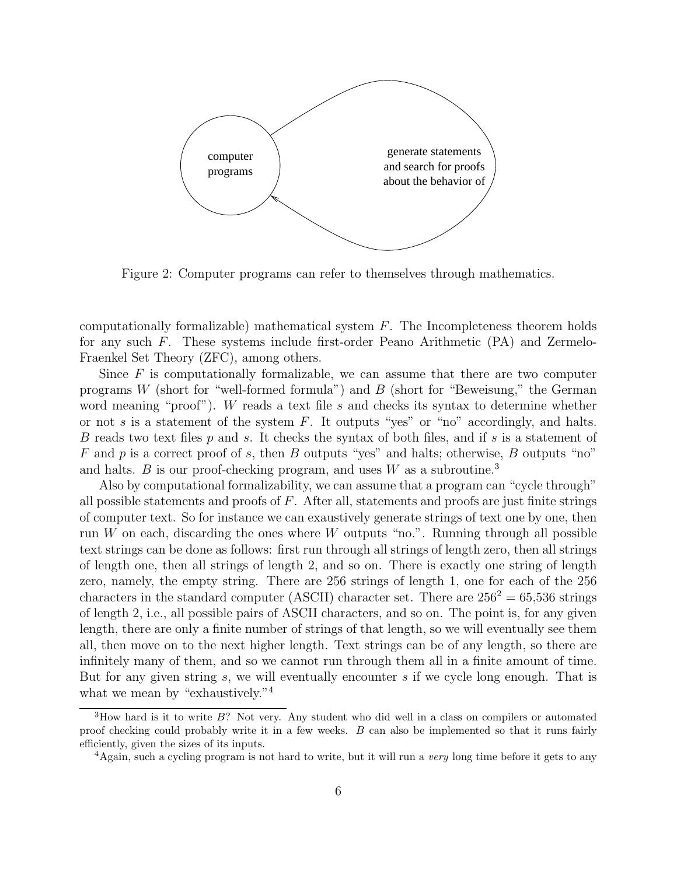

Figure 2: Computer programs can refer to themselves through mathematics.

computationally formalizable) mathematical system  $F$ . The Incompleteness theorem holds for any such F. These systems include first-order Peano Arithmetic (PA) and Zermelo-Fraenkel Set Theory (ZFC), among others.

Since  $F$  is computationally formalizable, we can assume that there are two computer programs W (short for "well-formed formula") and  $B$  (short for "Beweisung," the German word meaning "proof"). W reads a text file s and checks its syntax to determine whether or not s is a statement of the system  $F$ . It outputs "yes" or "no" accordingly, and halts. B reads two text files p and s. It checks the syntax of both files, and if s is a statement of F and p is a correct proof of s, then B outputs "yes" and halts; otherwise, B outputs "no" and halts. B is our proof-checking program, and uses  $W$  as a subroutine.<sup>3</sup>

Also by computational formalizability, we can assume that a program can "cycle through" all possible statements and proofs of  $F$ . After all, statements and proofs are just finite strings of computer text. So for instance we can exaustively generate strings of text one by one, then run  $W$  on each, discarding the ones where  $W$  outputs "no.". Running through all possible text strings can be done as follows: first run through all strings of length zero, then all strings of length one, then all strings of length 2, and so on. There is exactly one string of length zero, namely, the empty string. There are 256 strings of length 1, one for each of the 256 characters in the standard computer (ASCII) character set. There are  $256^2 = 65,536$  strings of length 2, i.e., all possible pairs of ASCII characters, and so on. The point is, for any given length, there are only a finite number of strings of that length, so we will eventually see them all, then move on to the next higher length. Text strings can be of any length, so there are infinitely many of them, and so we cannot run through them all in a finite amount of time. But for any given string s, we will eventually encounter s if we cycle long enough. That is what we mean by "exhaustively."<sup>4</sup>

 $3$ How hard is it to write  $B$ ? Not very. Any student who did well in a class on compilers or automated proof checking could probably write it in a few weeks. B can also be implemented so that it runs fairly efficiently, given the sizes of its inputs.

<sup>&</sup>lt;sup>4</sup>Again, such a cycling program is not hard to write, but it will run a very long time before it gets to any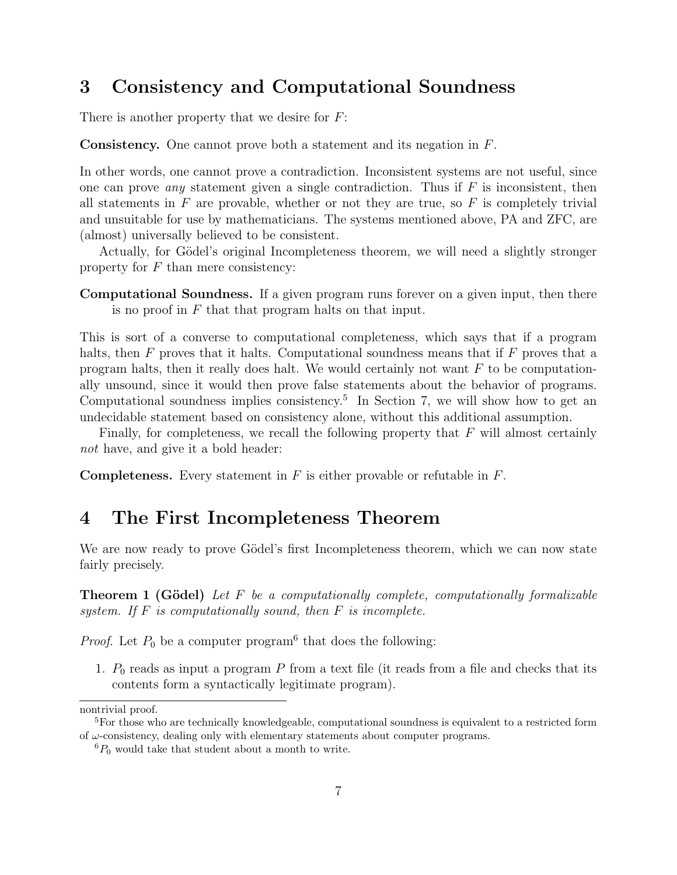### 3 Consistency and Computational Soundness

There is another property that we desire for  $F$ :

Consistency. One cannot prove both a statement and its negation in F.

In other words, one cannot prove a contradiction. Inconsistent systems are not useful, since one can prove *any* statement given a single contradiction. Thus if  $F$  is inconsistent, then all statements in  $F$  are provable, whether or not they are true, so  $F$  is completely trivial and unsuitable for use by mathematicians. The systems mentioned above, PA and ZFC, are (almost) universally believed to be consistent.

Actually, for Gödel's original Incompleteness theorem, we will need a slightly stronger property for  $F$  than mere consistency:

Computational Soundness. If a given program runs forever on a given input, then there is no proof in  $F$  that that program halts on that input.

This is sort of a converse to computational completeness, which says that if a program halts, then  $F$  proves that it halts. Computational soundness means that if  $F$  proves that a program halts, then it really does halt. We would certainly not want  $F$  to be computationally unsound, since it would then prove false statements about the behavior of programs. Computational soundness implies consistency.<sup>5</sup> In Section 7, we will show how to get an undecidable statement based on consistency alone, without this additional assumption.

Finally, for completeness, we recall the following property that  $F$  will almost certainly not have, and give it a bold header:

**Completeness.** Every statement in  $F$  is either provable or refutable in  $F$ .

#### 4 The First Incompleteness Theorem

We are now ready to prove Gödel's first Incompleteness theorem, which we can now state fairly precisely.

**Theorem 1 (Gödel)** Let  $F$  be a computationally complete, computationally formalizable system. If  $F$  is computationally sound, then  $F$  is incomplete.

*Proof.* Let  $P_0$  be a computer program<sup>6</sup> that does the following:

1.  $P_0$  reads as input a program P from a text file (it reads from a file and checks that its contents form a syntactically legitimate program).

nontrivial proof.

<sup>&</sup>lt;sup>5</sup>For those who are technically knowledgeable, computational soundness is equivalent to a restricted form of  $\omega$ -consistency, dealing only with elementary statements about computer programs.

 ${}^6P_0$  would take that student about a month to write.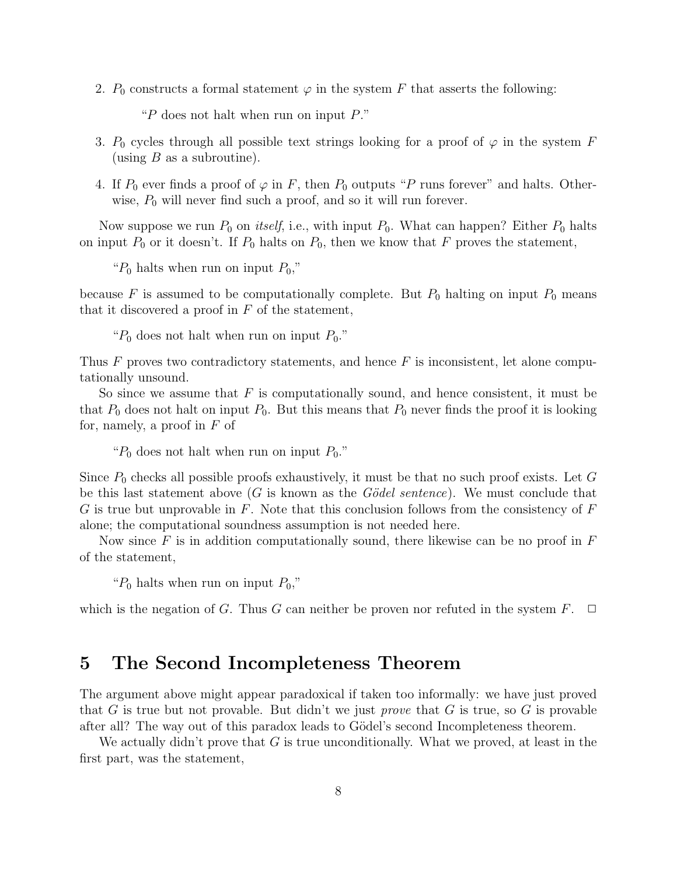2.  $P_0$  constructs a formal statement  $\varphi$  in the system F that asserts the following:

"P does not halt when run on input  $P$ ."

- 3.  $P_0$  cycles through all possible text strings looking for a proof of  $\varphi$  in the system F (using  $B$  as a subroutine).
- 4. If  $P_0$  ever finds a proof of  $\varphi$  in F, then  $P_0$  outputs "P runs forever" and halts. Otherwise,  $P_0$  will never find such a proof, and so it will run forever.

Now suppose we run  $P_0$  on *itself*, i.e., with input  $P_0$ . What can happen? Either  $P_0$  halts on input  $P_0$  or it doesn't. If  $P_0$  halts on  $P_0$ , then we know that F proves the statement,

" $P_0$  halts when run on input  $P_0$ ,"

because F is assumed to be computationally complete. But  $P_0$  halting on input  $P_0$  means that it discovered a proof in  $F$  of the statement,

" $P_0$  does not halt when run on input  $P_0$ ."

Thus  $F$  proves two contradictory statements, and hence  $F$  is inconsistent, let alone computationally unsound.

So since we assume that  $F$  is computationally sound, and hence consistent, it must be that  $P_0$  does not halt on input  $P_0$ . But this means that  $P_0$  never finds the proof it is looking for, namely, a proof in  $F$  of

" $P_0$  does not halt when run on input  $P_0$ ."

Since  $P_0$  checks all possible proofs exhaustively, it must be that no such proof exists. Let G be this last statement above  $(G$  is known as the  $Gödel sentence$ . We must conclude that G is true but unprovable in  $F$ . Note that this conclusion follows from the consistency of  $F$ alone; the computational soundness assumption is not needed here.

Now since F is in addition computationally sound, there likewise can be no proof in  $F$ of the statement,

" $P_0$  halts when run on input  $P_0$ ,"

which is the negation of G. Thus G can neither be proven nor refuted in the system  $F$ .  $\Box$ 

#### 5 The Second Incompleteness Theorem

The argument above might appear paradoxical if taken too informally: we have just proved that G is true but not provable. But didn't we just *prove* that G is true, so G is provable after all? The way out of this paradox leads to Gödel's second Incompleteness theorem.

We actually didn't prove that G is true unconditionally. What we proved, at least in the first part, was the statement,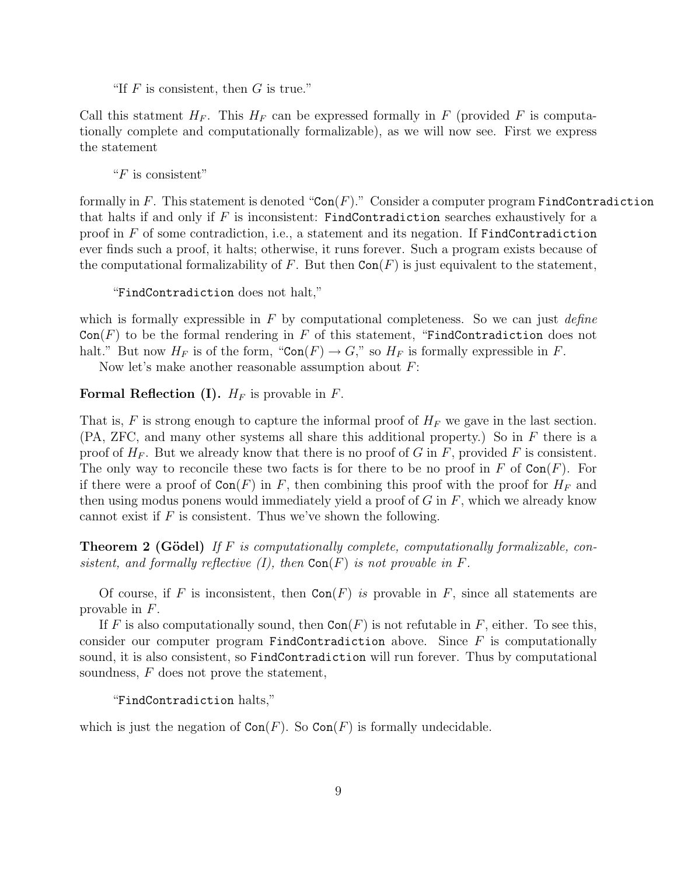"If  $F$  is consistent, then  $G$  is true."

Call this statment  $H_F$ . This  $H_F$  can be expressed formally in F (provided F is computationally complete and computationally formalizable), as we will now see. First we express the statement

" $F$  is consistent"

formally in F. This statement is denoted "Con(F)." Consider a computer program FindContradiction that halts if and only if  $F$  is inconsistent: FindContradiction searches exhaustively for a proof in  $F$  of some contradiction, i.e., a statement and its negation. If FindContradiction ever finds such a proof, it halts; otherwise, it runs forever. Such a program exists because of the computational formalizability of F. But then  $Con(F)$  is just equivalent to the statement,

"FindContradiction does not halt,"

which is formally expressible in  $F$  by computational completeness. So we can just *define*  $Con(F)$  to be the formal rendering in F of this statement, "FindContradiction does not halt." But now  $H_F$  is of the form, " $Con(F) \to G$ ," so  $H_F$  is formally expressible in F.

Now let's make another reasonable assumption about  $F$ :

**Formal Reflection (I).**  $H_F$  is provable in  $F$ .

That is, F is strong enough to capture the informal proof of  $H_F$  we gave in the last section.  $(PA, ZFC, and many other systems all share this additional property.)$  So in F there is a proof of  $H_F$ . But we already know that there is no proof of G in F, provided F is consistent. The only way to reconcile these two facts is for there to be no proof in F of  $Con(F)$ . For if there were a proof of  $Con(F)$  in F, then combining this proof with the proof for  $H_F$  and then using modus ponens would immediately yield a proof of  $G$  in  $F$ , which we already know cannot exist if  $F$  is consistent. Thus we've shown the following.

**Theorem 2 (Gödel)** If F is computationally complete, computationally formalizable, consistent, and formally reflective  $(I)$ , then  $Con(F)$  is not provable in F.

Of course, if F is inconsistent, then  $Con(F)$  is provable in F, since all statements are provable in F.

If F is also computationally sound, then  $Con(F)$  is not refutable in F, either. To see this, consider our computer program FindContradiction above. Since  $F$  is computationally sound, it is also consistent, so FindContradiction will run forever. Thus by computational soundness,  $F$  does not prove the statement,

"FindContradiction halts,"

which is just the negation of  $Con(F)$ . So  $Con(F)$  is formally undecidable.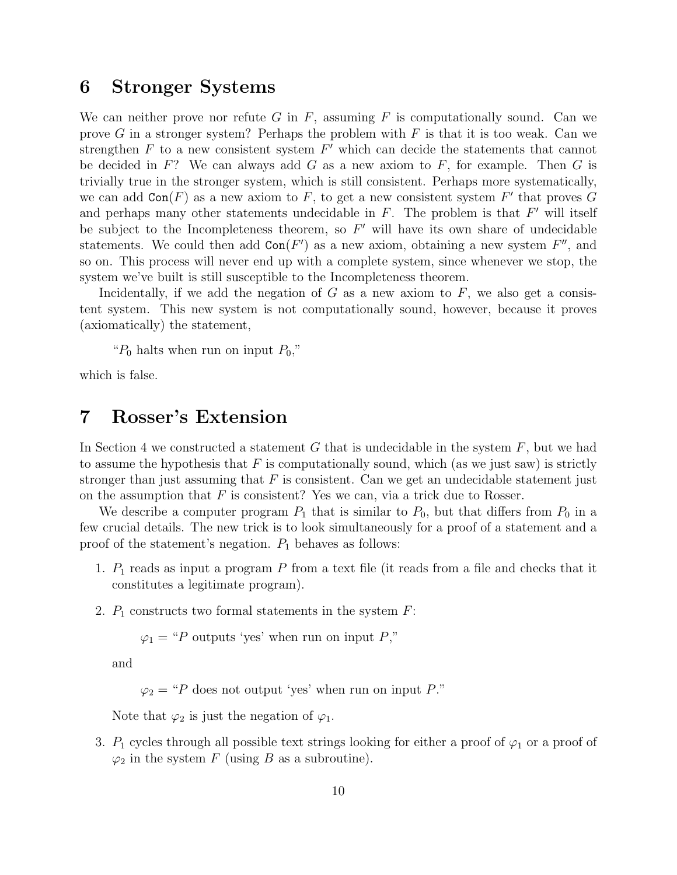### 6 Stronger Systems

We can neither prove nor refute G in F, assuming F is computationally sound. Can we prove G in a stronger system? Perhaps the problem with  $F$  is that it is too weak. Can we strengthen  $F$  to a new consistent system  $F'$  which can decide the statements that cannot be decided in F? We can always add G as a new axiom to F, for example. Then G is trivially true in the stronger system, which is still consistent. Perhaps more systematically, we can add  $Con(F)$  as a new axiom to F, to get a new consistent system F' that proves G and perhaps many other statements undecidable in  $F$ . The problem is that  $F'$  will itself be subject to the Incompleteness theorem, so  $F'$  will have its own share of undecidable statements. We could then add  $Con(F')$  as a new axiom, obtaining a new system  $F''$ , and so on. This process will never end up with a complete system, since whenever we stop, the system we've built is still susceptible to the Incompleteness theorem.

Incidentally, if we add the negation of G as a new axiom to F, we also get a consistent system. This new system is not computationally sound, however, because it proves (axiomatically) the statement,

" $P_0$  halts when run on input  $P_0$ ,"

which is false.

## 7 Rosser's Extension

In Section 4 we constructed a statement G that is undecidable in the system  $F$ , but we had to assume the hypothesis that  $F$  is computationally sound, which (as we just saw) is strictly stronger than just assuming that  $F$  is consistent. Can we get an undecidable statement just on the assumption that  $F$  is consistent? Yes we can, via a trick due to Rosser.

We describe a computer program  $P_1$  that is similar to  $P_0$ , but that differs from  $P_0$  in a few crucial details. The new trick is to look simultaneously for a proof of a statement and a proof of the statement's negation.  $P_1$  behaves as follows:

- 1.  $P_1$  reads as input a program  $P$  from a text file (it reads from a file and checks that it constitutes a legitimate program).
- 2.  $P_1$  constructs two formal statements in the system  $F$ :

 $\varphi_1$  = "P outputs 'yes' when run on input P,"

and

 $\varphi_2$  = "P does not output 'yes' when run on input P."

Note that  $\varphi_2$  is just the negation of  $\varphi_1$ .

3.  $P_1$  cycles through all possible text strings looking for either a proof of  $\varphi_1$  or a proof of  $\varphi_2$  in the system F (using B as a subroutine).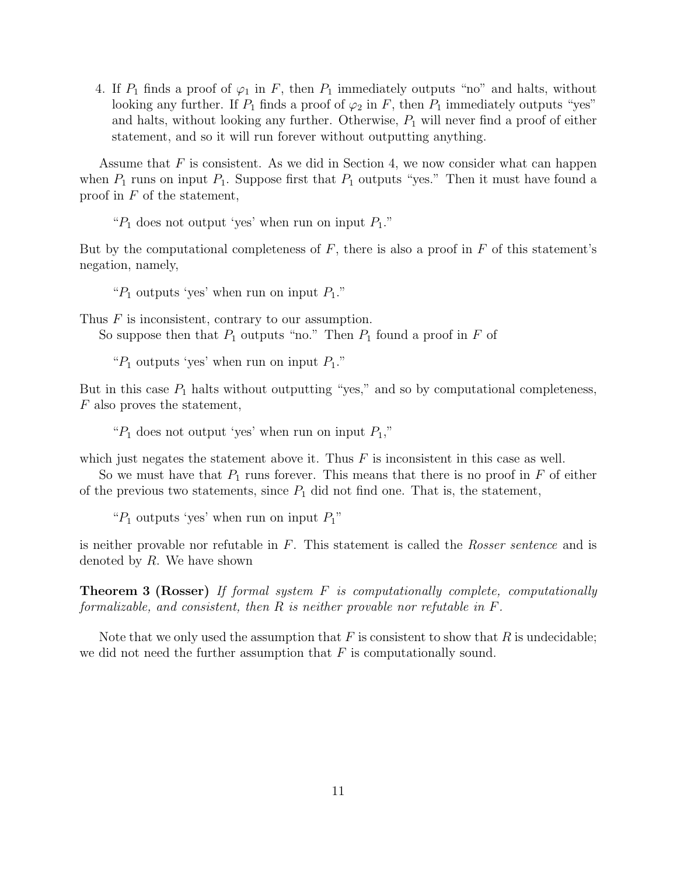4. If  $P_1$  finds a proof of  $\varphi_1$  in F, then  $P_1$  immediately outputs "no" and halts, without looking any further. If  $P_1$  finds a proof of  $\varphi_2$  in F, then  $P_1$  immediately outputs "yes" and halts, without looking any further. Otherwise,  $P_1$  will never find a proof of either statement, and so it will run forever without outputting anything.

Assume that  $F$  is consistent. As we did in Section 4, we now consider what can happen when  $P_1$  runs on input  $P_1$ . Suppose first that  $P_1$  outputs "yes." Then it must have found a proof in  $F$  of the statement,

" $P_1$  does not output 'yes' when run on input  $P_1$ ."

But by the computational completeness of  $F$ , there is also a proof in  $F$  of this statement's negation, namely,

" $P_1$  outputs 'yes' when run on input  $P_1$ ."

Thus  $F$  is inconsistent, contrary to our assumption. So suppose then that  $P_1$  outputs "no." Then  $P_1$  found a proof in F of

" $P_1$  outputs 'yes' when run on input  $P_1$ ."

But in this case  $P_1$  halts without outputting "yes," and so by computational completeness, F also proves the statement,

" $P_1$  does not output 'yes' when run on input  $P_1$ ,"

which just negates the statement above it. Thus  $F$  is inconsistent in this case as well.

So we must have that  $P_1$  runs forever. This means that there is no proof in  $F$  of either of the previous two statements, since  $P_1$  did not find one. That is, the statement,

" $P_1$  outputs 'yes' when run on input  $P_1$ "

is neither provable nor refutable in F. This statement is called the Rosser sentence and is denoted by  $R$ . We have shown

**Theorem 3 (Rosser)** If formal system  $F$  is computationally complete, computationally formalizable, and consistent, then R is neither provable nor refutable in F.

Note that we only used the assumption that  $F$  is consistent to show that  $R$  is undecidable; we did not need the further assumption that  $F$  is computationally sound.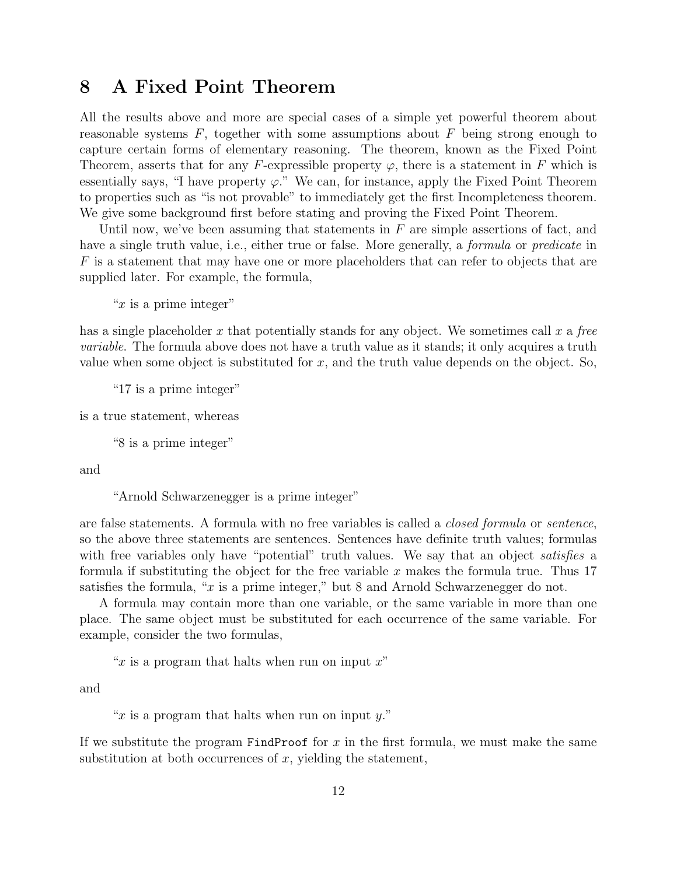## 8 A Fixed Point Theorem

All the results above and more are special cases of a simple yet powerful theorem about reasonable systems  $F$ , together with some assumptions about  $F$  being strong enough to capture certain forms of elementary reasoning. The theorem, known as the Fixed Point Theorem, asserts that for any F-expressible property  $\varphi$ , there is a statement in F which is essentially says, "I have property  $\varphi$ ." We can, for instance, apply the Fixed Point Theorem to properties such as "is not provable" to immediately get the first Incompleteness theorem. We give some background first before stating and proving the Fixed Point Theorem.

Until now, we've been assuming that statements in  $F$  are simple assertions of fact, and have a single truth value, i.e., either true or false. More generally, a *formula* or *predicate* in F is a statement that may have one or more placeholders that can refer to objects that are supplied later. For example, the formula,

" $x$  is a prime integer"

has a single placeholder x that potentially stands for any object. We sometimes call x a free variable. The formula above does not have a truth value as it stands; it only acquires a truth value when some object is substituted for  $x$ , and the truth value depends on the object. So,

"17 is a prime integer"

is a true statement, whereas

"8 is a prime integer"

and

"Arnold Schwarzenegger is a prime integer"

are false statements. A formula with no free variables is called a closed formula or sentence, so the above three statements are sentences. Sentences have definite truth values; formulas with free variables only have "potential" truth values. We say that an object *satisfies* a formula if substituting the object for the free variable  $x$  makes the formula true. Thus 17 satisfies the formula, "x is a prime integer," but 8 and Arnold Schwarzenegger do not.

A formula may contain more than one variable, or the same variable in more than one place. The same object must be substituted for each occurrence of the same variable. For example, consider the two formulas,

" $x$  is a program that halts when run on input  $x$ "

and

" $x$  is a program that halts when run on input  $y$ ."

If we substitute the program  $FindProof$  for x in the first formula, we must make the same substitution at both occurrences of  $x$ , yielding the statement,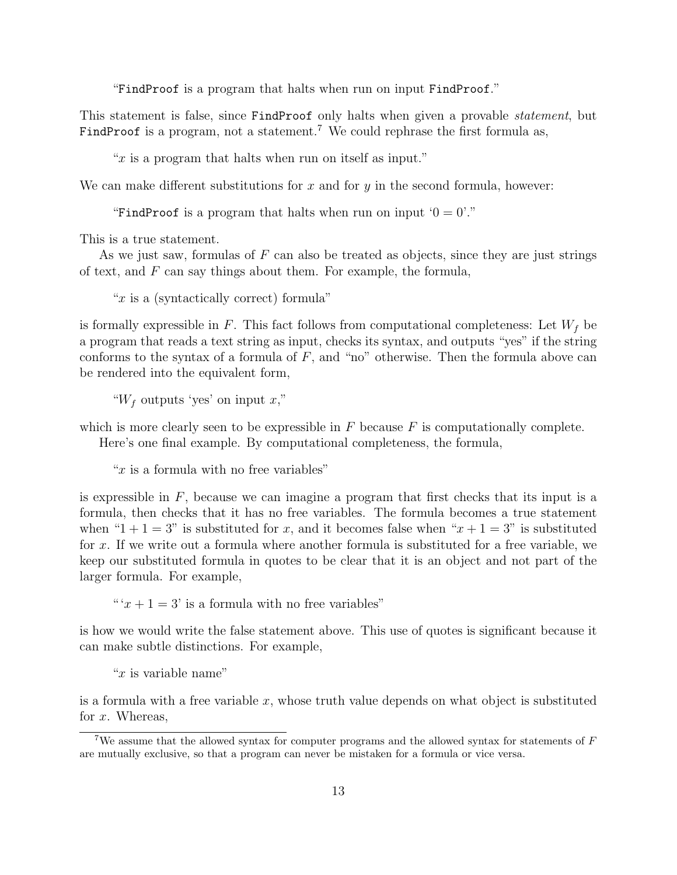"FindProof is a program that halts when run on input FindProof."

This statement is false, since FindProof only halts when given a provable statement, but FindProof is a program, not a statement.<sup>7</sup> We could rephrase the first formula as,

" $x$  is a program that halts when run on itself as input."

We can make different substitutions for  $x$  and for  $y$  in the second formula, however:

"FindProof is a program that halts when run on input  $0 = 0$ "."

This is a true statement.

As we just saw, formulas of  $F$  can also be treated as objects, since they are just strings of text, and  $F$  can say things about them. For example, the formula,

" $x$  is a (syntactically correct) formula"

is formally expressible in F. This fact follows from computational completeness: Let  $W_f$  be a program that reads a text string as input, checks its syntax, and outputs "yes" if the string conforms to the syntax of a formula of  $F$ , and "no" otherwise. Then the formula above can be rendered into the equivalent form,

" $W_f$  outputs 'yes' on input x,"

which is more clearly seen to be expressible in  $F$  because  $F$  is computationally complete.

Here's one final example. By computational completeness, the formula,

" $x$  is a formula with no free variables"

is expressible in  $F$ , because we can imagine a program that first checks that its input is a formula, then checks that it has no free variables. The formula becomes a true statement when "1 + 1 = 3" is substituted for x, and it becomes false when " $x + 1 = 3$ " is substituted for x. If we write out a formula where another formula is substituted for a free variable, we keep our substituted formula in quotes to be clear that it is an object and not part of the larger formula. For example,

" $x + 1 = 3$ ' is a formula with no free variables"

is how we would write the false statement above. This use of quotes is significant because it can make subtle distinctions. For example,

" $x$  is variable name"

is a formula with a free variable  $x$ , whose truth value depends on what object is substituted for  $x$ . Whereas,

<sup>&</sup>lt;sup>7</sup>We assume that the allowed syntax for computer programs and the allowed syntax for statements of  $F$ are mutually exclusive, so that a program can never be mistaken for a formula or vice versa.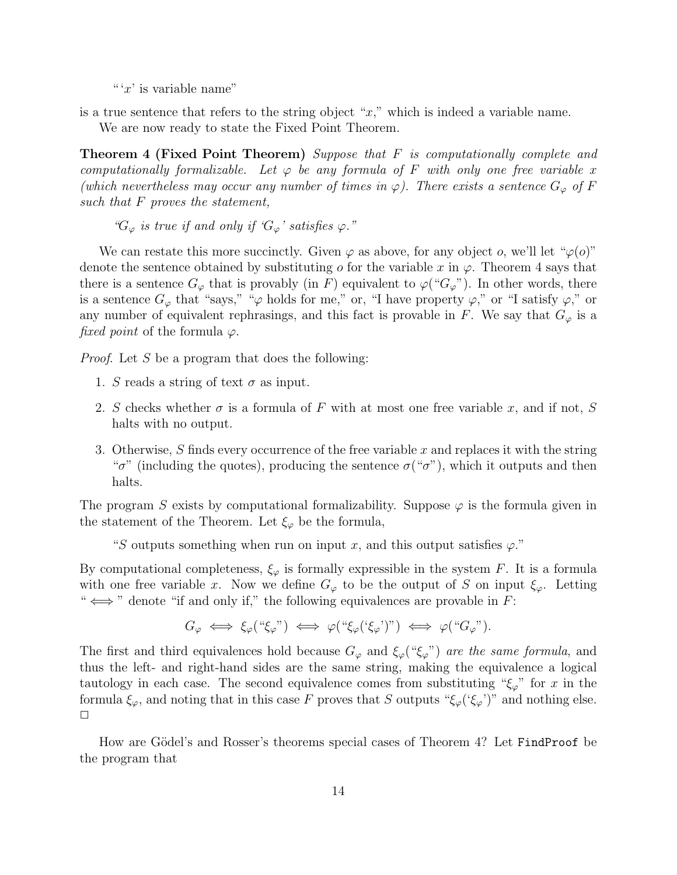"  $x'$  is variable name"

is a true sentence that refers to the string object " $x$ ," which is indeed a variable name.

We are now ready to state the Fixed Point Theorem.

**Theorem 4 (Fixed Point Theorem)** Suppose that F is computationally complete and computationally formalizable. Let  $\varphi$  be any formula of F with only one free variable x (which nevertheless may occur any number of times in  $\varphi$ ). There exists a sentence  $G_{\varphi}$  of F such that F proves the statement,

" $G_{\varphi}$  is true if and only if  $G_{\varphi}$ ' satisfies  $\varphi$ ."

We can restate this more succinctly. Given  $\varphi$  as above, for any object o, we'll let " $\varphi$ (o)" denote the sentence obtained by substituting o for the variable x in  $\varphi$ . Theorem 4 says that there is a sentence  $G_{\varphi}$  that is provably (in F) equivalent to  $\varphi({}``G_{\varphi}"')$ . In other words, there is a sentence  $G_{\varphi}$  that "says," " $\varphi$  holds for me," or, "I have property  $\varphi$ ," or "I satisfy  $\varphi$ ," or any number of equivalent rephrasings, and this fact is provable in F. We say that  $G_{\varphi}$  is a fixed point of the formula  $\varphi$ .

*Proof.* Let S be a program that does the following:

- 1. S reads a string of text  $\sigma$  as input.
- 2. S checks whether  $\sigma$  is a formula of F with at most one free variable x, and if not, S halts with no output.
- 3. Otherwise, S finds every occurrence of the free variable  $x$  and replaces it with the string " $\sigma$ " (including the quotes), producing the sentence  $\sigma$  (" $\sigma$ "), which it outputs and then halts.

The program S exists by computational formalizability. Suppose  $\varphi$  is the formula given in the statement of the Theorem. Let  $\xi_{\varphi}$  be the formula,

"S outputs something when run on input x, and this output satisfies  $\varphi$ ."

By computational completeness,  $\xi_{\varphi}$  is formally expressible in the system F. It is a formula with one free variable x. Now we define  $G_{\varphi}$  to be the output of S on input  $\xi_{\varphi}$ . Letting " $\iff$ " denote "if and only if," the following equivalences are provable in F:

$$
G_{\varphi} \iff \xi_{\varphi}(\text{``}\xi_{\varphi}\text{''}) \iff \varphi(\text{``}\xi_{\varphi}(\text{``}\xi_{\varphi}\text{''})\text{''}) \iff \varphi(\text{``}G_{\varphi}\text{''}).
$$

The first and third equivalences hold because  $G_{\varphi}$  and  $\xi_{\varphi}$  (" $\xi_{\varphi}$ ") are the same formula, and thus the left- and right-hand sides are the same string, making the equivalence a logical tautology in each case. The second equivalence comes from substituting " $\xi_{\varphi}$ " for x in the formula  $\xi_{\varphi}$ , and noting that in this case F proves that S outputs " $\xi_{\varphi}$  (' $\xi_{\varphi}$ ')" and nothing else.  $\Box$ 

How are Gödel's and Rosser's theorems special cases of Theorem 4? Let FindProof be the program that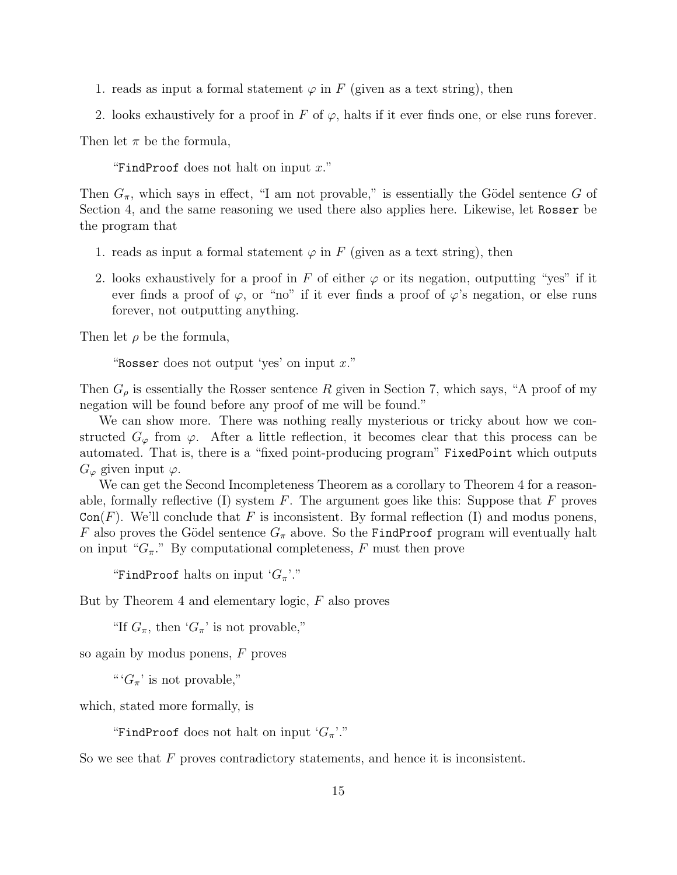- 1. reads as input a formal statement  $\varphi$  in F (given as a text string), then
- 2. looks exhaustively for a proof in F of  $\varphi$ , halts if it ever finds one, or else runs forever.

Then let  $\pi$  be the formula,

"FindProof does not halt on input  $x$ ."

Then  $G_{\pi}$ , which says in effect, "I am not provable," is essentially the Gödel sentence G of Section 4, and the same reasoning we used there also applies here. Likewise, let Rosser be the program that

- 1. reads as input a formal statement  $\varphi$  in F (given as a text string), then
- 2. looks exhaustively for a proof in F of either  $\varphi$  or its negation, outputting "yes" if it ever finds a proof of  $\varphi$ , or "no" if it ever finds a proof of  $\varphi$ 's negation, or else runs forever, not outputting anything.

Then let  $\rho$  be the formula,

"Rosser does not output 'yes' on input  $x$ ."

Then  $G<sub>o</sub>$  is essentially the Rosser sentence R given in Section 7, which says, "A proof of my negation will be found before any proof of me will be found."

We can show more. There was nothing really mysterious or tricky about how we constructed  $G_{\varphi}$  from  $\varphi$ . After a little reflection, it becomes clear that this process can be automated. That is, there is a "fixed point-producing program" FixedPoint which outputs  $G_{\varphi}$  given input  $\varphi$ .

We can get the Second Incompleteness Theorem as a corollary to Theorem 4 for a reasonable, formally reflective (I) system  $F$ . The argument goes like this: Suppose that  $F$  proves  $Con(F)$ . We'll conclude that F is inconsistent. By formal reflection (I) and modus ponens, F also proves the Gödel sentence  $G_{\pi}$  above. So the FindProof program will eventually halt on input " $G_{\pi}$ ." By computational completeness, F must then prove

"FindProof halts on input  $G_{\pi}$ "."

But by Theorem 4 and elementary logic, F also proves

"If  $G_{\pi}$ , then ' $G_{\pi}$ ' is not provable,"

so again by modus ponens, F proves

" ' $G_{\pi}$ ' is not provable,"

which, stated more formally, is

"FindProof does not halt on input  $G_{\pi}$ "."

So we see that  $F$  proves contradictory statements, and hence it is inconsistent.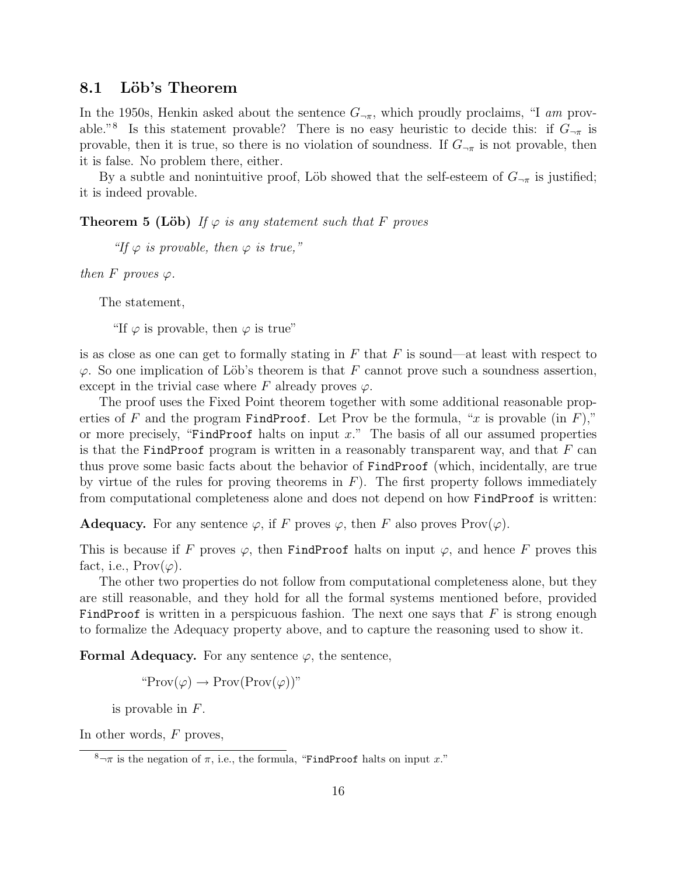#### 8.1 Löb's Theorem

In the 1950s, Henkin asked about the sentence  $G_{\neg \pi}$ , which proudly proclaims, "I am provable."<sup>8</sup> Is this statement provable? There is no easy heuristic to decide this: if  $G_{\neg \pi}$  is provable, then it is true, so there is no violation of soundness. If  $G_{\neg \pi}$  is not provable, then it is false. No problem there, either.

By a subtle and nonintuitive proof, Löb showed that the self-esteem of  $G_{\neg \pi}$  is justified; it is indeed provable.

**Theorem 5 (Löb)** If  $\varphi$  is any statement such that F proves

"If  $\varphi$  is provable, then  $\varphi$  is true,"

then F proves  $\varphi$ .

The statement,

"If  $\varphi$  is provable, then  $\varphi$  is true"

is as close as one can get to formally stating in  $F$  that  $F$  is sound—at least with respect to  $\varphi$ . So one implication of Löb's theorem is that F cannot prove such a soundness assertion, except in the trivial case where F already proves  $\varphi$ .

The proof uses the Fixed Point theorem together with some additional reasonable properties of F and the program FindProof. Let Prov be the formula, "x is provable (in F)," or more precisely, "FindProof halts on input  $x$ ." The basis of all our assumed properties is that the FindProof program is written in a reasonably transparent way, and that  $F$  can thus prove some basic facts about the behavior of FindProof (which, incidentally, are true by virtue of the rules for proving theorems in  $F$ ). The first property follows immediately from computational completeness alone and does not depend on how FindProof is written:

**Adequacy.** For any sentence  $\varphi$ , if F proves  $\varphi$ , then F also proves Prov $(\varphi)$ .

This is because if F proves  $\varphi$ , then FindProof halts on input  $\varphi$ , and hence F proves this fact, i.e.,  $\text{Prov}(\varphi)$ .

The other two properties do not follow from computational completeness alone, but they are still reasonable, and they hold for all the formal systems mentioned before, provided FindProof is written in a perspicuous fashion. The next one says that  $F$  is strong enough to formalize the Adequacy property above, and to capture the reasoning used to show it.

**Formal Adequacy.** For any sentence  $\varphi$ , the sentence,

 $\operatorname{`Prov}(\varphi) \to \operatorname{Prov}(\operatorname{Prov}(\varphi))$ "

is provable in F.

In other words, F proves,

 $8-\pi$  is the negation of  $\pi$ , i.e., the formula, "FindProof halts on input x."